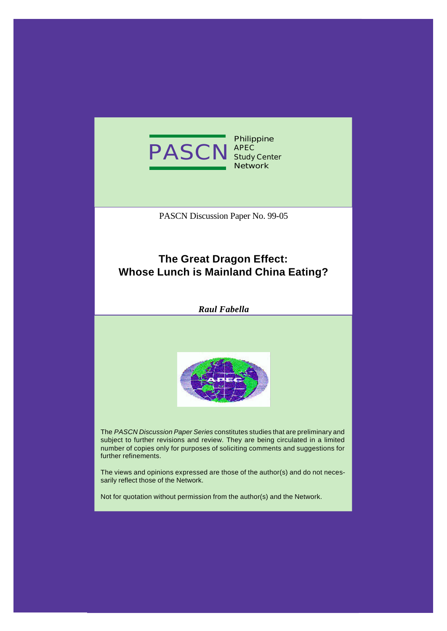

**Philippine APEC Study Center Network**

PASCN Discussion Paper No. 99-05

## **The Great Dragon Effect: Whose Lunch is Mainland China Eating?**

*Raul Fabella*



The *PASCN Discussion Paper Series* constitutes studies that are preliminary and subject to further revisions and review. They are being circulated in a limited number of copies only for purposes of soliciting comments and suggestions for further refinements.

The views and opinions expressed are those of the author(s) and do not necessarily reflect those of the Network.

Not for quotation without permission from the author(s) and the Network.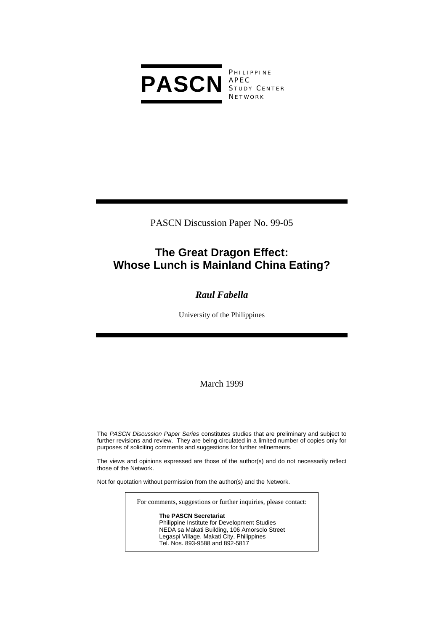

**PHILIPPINE** S TUDY C ENTER **NETWORK** 

PASCN Discussion Paper No. 99-05

# **The Great Dragon Effect: Whose Lunch is Mainland China Eating?**

## *Raul Fabella*

University of the Philippines

March 1999

The *PASCN Discussion Paper Series* constitutes studies that are preliminary and subject to further revisions and review. They are being circulated in a limited number of copies only for purposes of soliciting comments and suggestions for further refinements.

The views and opinions expressed are those of the author(s) and do not necessarily reflect those of the Network.

Not for quotation without permission from the author(s) and the Network.

For comments, suggestions or further inquiries, please contact:

**The PASCN Secretariat** Philippine Institute for Development Studies NEDA sa Makati Building, 106 Amorsolo Street Legaspi Village, Makati City, Philippines Tel. Nos. 893-9588 and 892-5817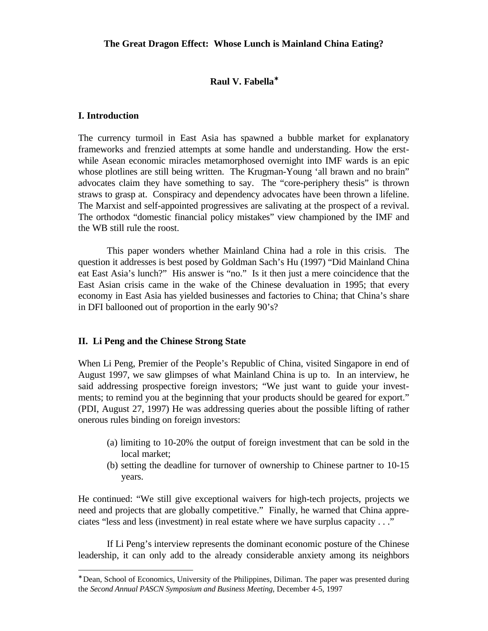#### **The Great Dragon Effect: Whose Lunch is Mainland China Eating?**

#### **Raul V. Fabella**<sup>∗</sup>

#### **I. Introduction**

-

The currency turmoil in East Asia has spawned a bubble market for explanatory frameworks and frenzied attempts at some handle and understanding. How the erstwhile Asean economic miracles metamorphosed overnight into IMF wards is an epic whose plotlines are still being written. The Krugman-Young 'all brawn and no brain" advocates claim they have something to say. The "core-periphery thesis" is thrown straws to grasp at. Conspiracy and dependency advocates have been thrown a lifeline. The Marxist and self-appointed progressives are salivating at the prospect of a revival. The orthodox "domestic financial policy mistakes" view championed by the IMF and the WB still rule the roost.

This paper wonders whether Mainland China had a role in this crisis. The question it addresses is best posed by Goldman Sach's Hu (1997) "Did Mainland China eat East Asia's lunch?" His answer is "no." Is it then just a mere coincidence that the East Asian crisis came in the wake of the Chinese devaluation in 1995; that every economy in East Asia has yielded businesses and factories to China; that China's share in DFI ballooned out of proportion in the early 90's?

#### **II. Li Peng and the Chinese Strong State**

When Li Peng, Premier of the People's Republic of China, visited Singapore in end of August 1997, we saw glimpses of what Mainland China is up to. In an interview, he said addressing prospective foreign investors; "We just want to guide your investments; to remind you at the beginning that your products should be geared for export." (PDI, August 27, 1997) He was addressing queries about the possible lifting of rather onerous rules binding on foreign investors:

- (a) limiting to 10-20% the output of foreign investment that can be sold in the local market;
- (b) setting the deadline for turnover of ownership to Chinese partner to 10-15 years.

He continued: "We still give exceptional waivers for high-tech projects, projects we need and projects that are globally competitive." Finally, he warned that China appreciates "less and less (investment) in real estate where we have surplus capacity . . ."

If Li Peng's interview represents the dominant economic posture of the Chinese leadership, it can only add to the already considerable anxiety among its neighbors

<sup>∗</sup> Dean, School of Economics, University of the Philippines, Diliman. The paper was presented during the *Second Annual PASCN Symposium and Business Meeting*, December 4-5, 1997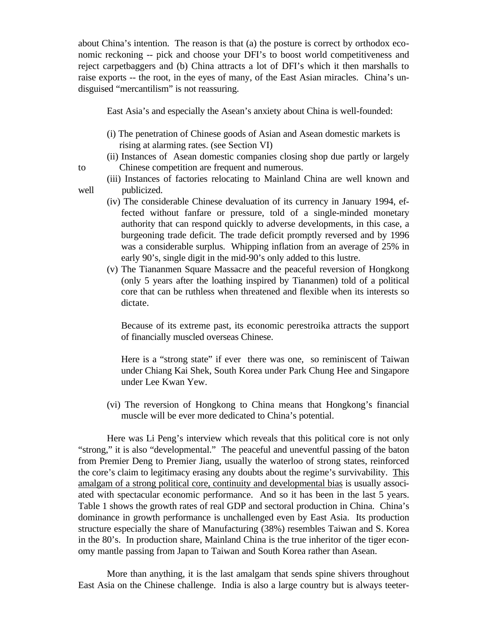about China's intention. The reason is that (a) the posture is correct by orthodox economic reckoning -- pick and choose your DFI's to boost world competitiveness and reject carpetbaggers and (b) China attracts a lot of DFI's which it then marshalls to raise exports -- the root, in the eyes of many, of the East Asian miracles. China's undisguised "mercantilism" is not reassuring.

East Asia's and especially the Asean's anxiety about China is well-founded:

- (i) The penetration of Chinese goods of Asian and Asean domestic markets is rising at alarming rates. (see Section VI)
- (ii) Instances of Asean domestic companies closing shop due partly or largely to Chinese competition are frequent and numerous.
- (iii) Instances of factories relocating to Mainland China are well known and well *publicized.*
- 
- (iv) The considerable Chinese devaluation of its currency in January 1994, effected without fanfare or pressure, told of a single-minded monetary authority that can respond quickly to adverse developments, in this case, a burgeoning trade deficit. The trade deficit promptly reversed and by 1996 was a considerable surplus. Whipping inflation from an average of 25% in early 90's, single digit in the mid-90's only added to this lustre.
- (v) The Tiananmen Square Massacre and the peaceful reversion of Hongkong (only 5 years after the loathing inspired by Tiananmen) told of a political core that can be ruthless when threatened and flexible when its interests so dictate.

Because of its extreme past, its economic perestroika attracts the support of financially muscled overseas Chinese.

Here is a "strong state" if ever there was one, so reminiscent of Taiwan under Chiang Kai Shek, South Korea under Park Chung Hee and Singapore under Lee Kwan Yew.

(vi) The reversion of Hongkong to China means that Hongkong's financial muscle will be ever more dedicated to China's potential.

Here was Li Peng's interview which reveals that this political core is not only "strong," it is also "developmental." The peaceful and uneventful passing of the baton from Premier Deng to Premier Jiang, usually the waterloo of strong states, reinforced the core's claim to legitimacy erasing any doubts about the regime's survivability. This amalgam of a strong political core, continuity and developmental bias is usually associated with spectacular economic performance. And so it has been in the last 5 years. Table 1 shows the growth rates of real GDP and sectoral production in China. China's dominance in growth performance is unchallenged even by East Asia. Its production structure especially the share of Manufacturing (38%) resembles Taiwan and S. Korea in the 80's. In production share, Mainland China is the true inheritor of the tiger economy mantle passing from Japan to Taiwan and South Korea rather than Asean.

More than anything, it is the last amalgam that sends spine shivers throughout East Asia on the Chinese challenge. India is also a large country but is always teeter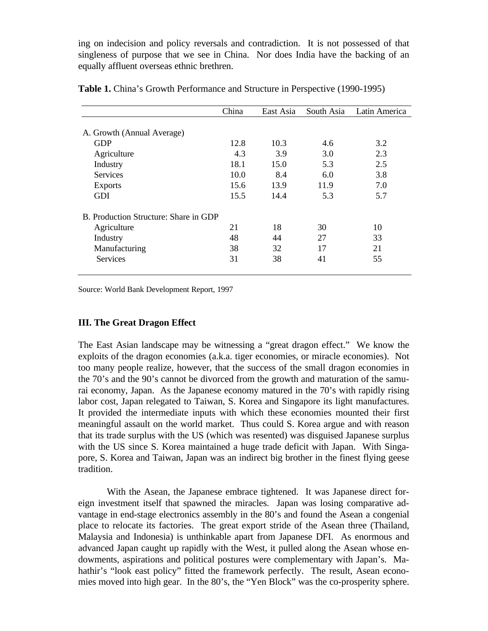ing on indecision and policy reversals and contradiction. It is not possessed of that singleness of purpose that we see in China. Nor does India have the backing of an equally affluent overseas ethnic brethren.

|                                       | China | East Asia | South Asia | Latin America |
|---------------------------------------|-------|-----------|------------|---------------|
|                                       |       |           |            |               |
| A. Growth (Annual Average)            |       |           |            |               |
| <b>GDP</b>                            | 12.8  | 10.3      | 4.6        | 3.2           |
| Agriculture                           | 4.3   | 3.9       | 3.0        | 2.3           |
| Industry                              | 18.1  | 15.0      | 5.3        | 2.5           |
| <b>Services</b>                       | 10.0  | 8.4       | 6.0        | 3.8           |
| <b>Exports</b>                        | 15.6  | 13.9      | 11.9       | 7.0           |
| <b>GDI</b>                            | 15.5  | 14.4      | 5.3        | 5.7           |
| B. Production Structure: Share in GDP |       |           |            |               |
| Agriculture                           | 21    | 18        | 30         | 10            |
| Industry                              | 48    | 44        | 27         | 33            |
| Manufacturing                         | 38    | 32        | 17         | 21            |
| Services                              | 31    | 38        | 41         | 55            |

**Table 1.** China's Growth Performance and Structure in Perspective (1990-1995)

Source: World Bank Development Report, 1997

#### **III. The Great Dragon Effect**

The East Asian landscape may be witnessing a "great dragon effect." We know the exploits of the dragon economies (a.k.a. tiger economies, or miracle economies). Not too many people realize, however, that the success of the small dragon economies in the 70's and the 90's cannot be divorced from the growth and maturation of the samurai economy, Japan. As the Japanese economy matured in the 70's with rapidly rising labor cost, Japan relegated to Taiwan, S. Korea and Singapore its light manufactures. It provided the intermediate inputs with which these economies mounted their first meaningful assault on the world market. Thus could S. Korea argue and with reason that its trade surplus with the US (which was resented) was disguised Japanese surplus with the US since S. Korea maintained a huge trade deficit with Japan. With Singapore, S. Korea and Taiwan, Japan was an indirect big brother in the finest flying geese tradition.

With the Asean, the Japanese embrace tightened. It was Japanese direct foreign investment itself that spawned the miracles. Japan was losing comparative advantage in end-stage electronics assembly in the 80's and found the Asean a congenial place to relocate its factories. The great export stride of the Asean three (Thailand, Malaysia and Indonesia) is unthinkable apart from Japanese DFI. As enormous and advanced Japan caught up rapidly with the West, it pulled along the Asean whose endowments, aspirations and political postures were complementary with Japan's. Mahathir's "look east policy" fitted the framework perfectly. The result, Asean economies moved into high gear. In the 80's, the "Yen Block" was the co-prosperity sphere.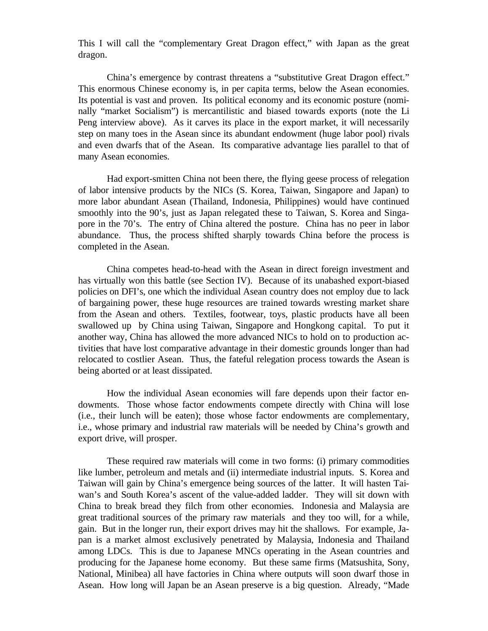This I will call the "complementary Great Dragon effect," with Japan as the great dragon.

China's emergence by contrast threatens a "substitutive Great Dragon effect." This enormous Chinese economy is, in per capita terms, below the Asean economies. Its potential is vast and proven. Its political economy and its economic posture (nominally "market Socialism") is mercantilistic and biased towards exports (note the Li Peng interview above). As it carves its place in the export market, it will necessarily step on many toes in the Asean since its abundant endowment (huge labor pool) rivals and even dwarfs that of the Asean. Its comparative advantage lies parallel to that of many Asean economies.

Had export-smitten China not been there, the flying geese process of relegation of labor intensive products by the NICs (S. Korea, Taiwan, Singapore and Japan) to more labor abundant Asean (Thailand, Indonesia, Philippines) would have continued smoothly into the 90's, just as Japan relegated these to Taiwan, S. Korea and Singapore in the 70's. The entry of China altered the posture. China has no peer in labor abundance. Thus, the process shifted sharply towards China before the process is completed in the Asean.

China competes head-to-head with the Asean in direct foreign investment and has virtually won this battle (see Section IV). Because of its unabashed export-biased policies on DFI's, one which the individual Asean country does not employ due to lack of bargaining power, these huge resources are trained towards wresting market share from the Asean and others. Textiles, footwear, toys, plastic products have all been swallowed up by China using Taiwan, Singapore and Hongkong capital. To put it another way, China has allowed the more advanced NICs to hold on to production activities that have lost comparative advantage in their domestic grounds longer than had relocated to costlier Asean. Thus, the fateful relegation process towards the Asean is being aborted or at least dissipated.

How the individual Asean economies will fare depends upon their factor endowments. Those whose factor endowments compete directly with China will lose (i.e., their lunch will be eaten); those whose factor endowments are complementary, i.e., whose primary and industrial raw materials will be needed by China's growth and export drive, will prosper.

These required raw materials will come in two forms: (i) primary commodities like lumber, petroleum and metals and (ii) intermediate industrial inputs. S. Korea and Taiwan will gain by China's emergence being sources of the latter. It will hasten Taiwan's and South Korea's ascent of the value-added ladder. They will sit down with China to break bread they filch from other economies. Indonesia and Malaysia are great traditional sources of the primary raw materials and they too will, for a while, gain. But in the longer run, their export drives may hit the shallows. For example, Japan is a market almost exclusively penetrated by Malaysia, Indonesia and Thailand among LDCs. This is due to Japanese MNCs operating in the Asean countries and producing for the Japanese home economy. But these same firms (Matsushita, Sony, National, Minibea) all have factories in China where outputs will soon dwarf those in Asean. How long will Japan be an Asean preserve is a big question. Already, "Made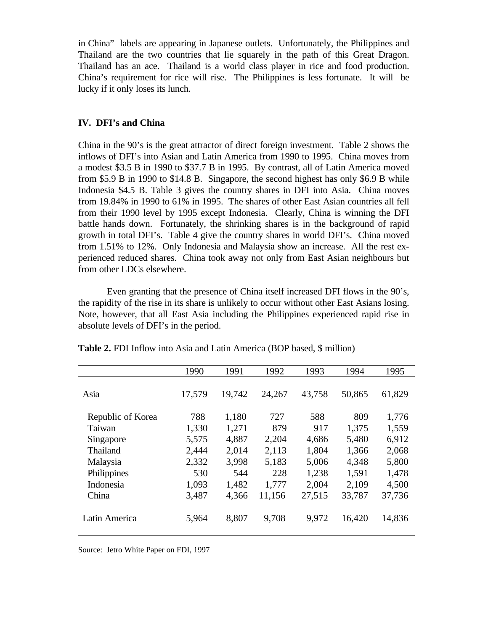in China" labels are appearing in Japanese outlets. Unfortunately, the Philippines and Thailand are the two countries that lie squarely in the path of this Great Dragon. Thailand has an ace. Thailand is a world class player in rice and food production. China's requirement for rice will rise. The Philippines is less fortunate. It will be lucky if it only loses its lunch.

#### **IV. DFI's and China**

China in the 90's is the great attractor of direct foreign investment. Table 2 shows the inflows of DFI's into Asian and Latin America from 1990 to 1995. China moves from a modest \$3.5 B in 1990 to \$37.7 B in 1995. By contrast, all of Latin America moved from \$5.9 B in 1990 to \$14.8 B. Singapore, the second highest has only \$6.9 B while Indonesia \$4.5 B. Table 3 gives the country shares in DFI into Asia. China moves from 19.84% in 1990 to 61% in 1995. The shares of other East Asian countries all fell from their 1990 level by 1995 except Indonesia. Clearly, China is winning the DFI battle hands down. Fortunately, the shrinking shares is in the background of rapid growth in total DFI's. Table 4 give the country shares in world DFI's. China moved from 1.51% to 12%. Only Indonesia and Malaysia show an increase. All the rest experienced reduced shares. China took away not only from East Asian neighbours but from other LDCs elsewhere.

Even granting that the presence of China itself increased DFI flows in the 90's, the rapidity of the rise in its share is unlikely to occur without other East Asians losing. Note, however, that all East Asia including the Philippines experienced rapid rise in absolute levels of DFI's in the period.

|                   | 1990   | 1991   | 1992   | 1993   | 1994   | 1995   |
|-------------------|--------|--------|--------|--------|--------|--------|
|                   |        |        |        |        |        |        |
| Asia              | 17,579 | 19,742 | 24,267 | 43,758 | 50,865 | 61,829 |
|                   |        |        |        |        |        |        |
| Republic of Korea | 788    | 1,180  | 727    | 588    | 809    | 1,776  |
| Taiwan            | 1,330  | 1,271  | 879    | 917    | 1,375  | 1,559  |
| Singapore         | 5,575  | 4,887  | 2,204  | 4,686  | 5,480  | 6,912  |
| Thailand          | 2,444  | 2,014  | 2,113  | 1,804  | 1,366  | 2,068  |
| Malaysia          | 2,332  | 3,998  | 5,183  | 5,006  | 4,348  | 5,800  |
| Philippines       | 530    | 544    | 228    | 1,238  | 1,591  | 1,478  |
| Indonesia         | 1,093  | 1,482  | 1,777  | 2,004  | 2,109  | 4,500  |
| China             | 3,487  | 4,366  | 11,156 | 27,515 | 33,787 | 37,736 |
|                   |        |        |        |        |        |        |
| Latin America     | 5,964  | 8,807  | 9,708  | 9,972  | 16,420 | 14,836 |
|                   |        |        |        |        |        |        |

**Table 2.** FDI Inflow into Asia and Latin America (BOP based, \$ million)

Source: Jetro White Paper on FDI, 1997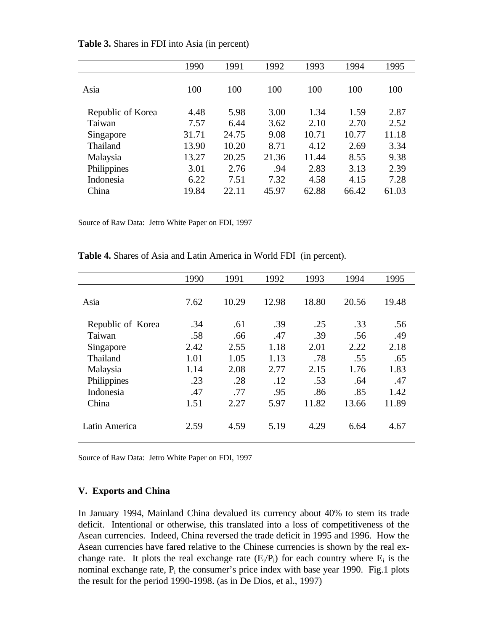|                   | 1990  | 1991  | 1992  | 1993  | 1994  | 1995  |
|-------------------|-------|-------|-------|-------|-------|-------|
| Asia              | 100   | 100   | 100   | 100   | 100   | 100   |
| Republic of Korea | 4.48  | 5.98  | 3.00  | 1.34  | 1.59  | 2.87  |
| Taiwan            | 7.57  | 6.44  | 3.62  | 2.10  | 2.70  | 2.52  |
| Singapore         | 31.71 | 24.75 | 9.08  | 10.71 | 10.77 | 11.18 |
| Thailand          | 13.90 | 10.20 | 8.71  | 4.12  | 2.69  | 3.34  |
| Malaysia          | 13.27 | 20.25 | 21.36 | 11.44 | 8.55  | 9.38  |
| Philippines       | 3.01  | 2.76  | .94   | 2.83  | 3.13  | 2.39  |
| Indonesia         | 6.22  | 7.51  | 7.32  | 4.58  | 4.15  | 7.28  |
| China             | 19.84 | 22.11 | 45.97 | 62.88 | 66.42 | 61.03 |
|                   |       |       |       |       |       |       |

**Table 3.** Shares in FDI into Asia (in percent)

Source of Raw Data: Jetro White Paper on FDI, 1997

|                   | 1990 | 1991  | 1992  | 1993  | 1994  | 1995  |
|-------------------|------|-------|-------|-------|-------|-------|
|                   |      |       |       |       |       |       |
| Asia              | 7.62 | 10.29 | 12.98 | 18.80 | 20.56 | 19.48 |
|                   |      |       |       |       |       |       |
| Republic of Korea | .34  | .61   | .39   | .25   | .33   | .56   |
| Taiwan            | .58  | .66   | .47   | .39   | .56   | .49   |
| Singapore         | 2.42 | 2.55  | 1.18  | 2.01  | 2.22  | 2.18  |
| Thailand          | 1.01 | 1.05  | 1.13  | .78   | .55   | .65   |
| Malaysia          | 1.14 | 2.08  | 2.77  | 2.15  | 1.76  | 1.83  |
| Philippines       | .23  | .28   | .12   | .53   | .64   | .47   |
| Indonesia         | .47  | .77   | .95   | .86   | .85   | 1.42  |
| China             | 1.51 | 2.27  | 5.97  | 11.82 | 13.66 | 11.89 |
|                   |      |       |       |       |       |       |
| Latin America     | 2.59 | 4.59  | 5.19  | 4.29  | 6.64  | 4.67  |
|                   |      |       |       |       |       |       |

**Table 4.** Shares of Asia and Latin America in World FDI (in percent).

Source of Raw Data: Jetro White Paper on FDI, 1997

#### **V. Exports and China**

In January 1994, Mainland China devalued its currency about 40% to stem its trade deficit. Intentional or otherwise, this translated into a loss of competitiveness of the Asean currencies. Indeed, China reversed the trade deficit in 1995 and 1996. How the Asean currencies have fared relative to the Chinese currencies is shown by the real exchange rate. It plots the real exchange rate  $(E_i/P_i)$  for each country where  $E_i$  is the nominal exchange rate,  $P_i$  the consumer's price index with base year 1990. Fig.1 plots the result for the period 1990-1998. (as in De Dios, et al., 1997)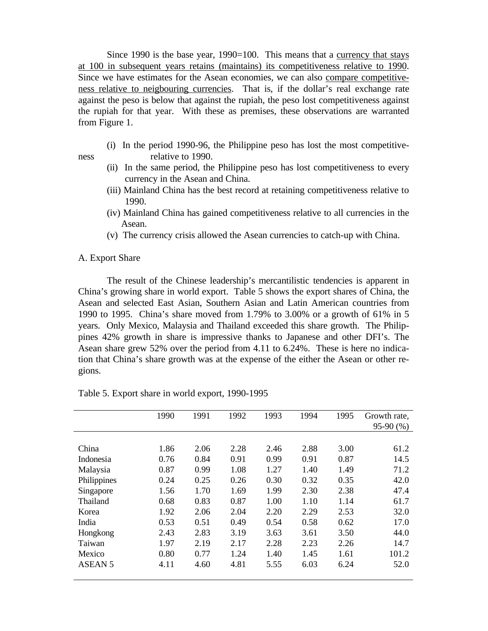Since 1990 is the base year, 1990=100. This means that a currency that stays at 100 in subsequent years retains (maintains) its competitiveness relative to 1990. Since we have estimates for the Asean economies, we can also compare competitiveness relative to neigbouring currencies. That is, if the dollar's real exchange rate against the peso is below that against the rupiah, the peso lost competitiveness against the rupiah for that year. With these as premises, these observations are warranted from Figure 1.

- (i) In the period 1990-96, the Philippine peso has lost the most competitiveness relative to 1990.
	- (ii) In the same period, the Philippine peso has lost competitiveness to every currency in the Asean and China.
	- (iii) Mainland China has the best record at retaining competitiveness relative to 1990.
	- (iv) Mainland China has gained competitiveness relative to all currencies in the Asean.
	- (v) The currency crisis allowed the Asean currencies to catch-up with China.

#### A. Export Share

The result of the Chinese leadership's mercantilistic tendencies is apparent in China's growing share in world export. Table 5 shows the export shares of China, the Asean and selected East Asian, Southern Asian and Latin American countries from 1990 to 1995. China's share moved from 1.79% to 3.00% or a growth of 61% in 5 years. Only Mexico, Malaysia and Thailand exceeded this share growth. The Philippines 42% growth in share is impressive thanks to Japanese and other DFI's. The Asean share grew 52% over the period from 4.11 to 6.24%. These is here no indication that China's share growth was at the expense of the either the Asean or other regions.

|                | 1990 | 1991 | 1992 | 1993 | 1994 | 1995 | Growth rate, |
|----------------|------|------|------|------|------|------|--------------|
|                |      |      |      |      |      |      | $95-90(%)$   |
|                |      |      |      |      |      |      |              |
| China          | 1.86 | 2.06 | 2.28 | 2.46 | 2.88 | 3.00 | 61.2         |
| Indonesia      | 0.76 | 0.84 | 0.91 | 0.99 | 0.91 | 0.87 | 14.5         |
| Malaysia       | 0.87 | 0.99 | 1.08 | 1.27 | 1.40 | 1.49 | 71.2         |
| Philippines    | 0.24 | 0.25 | 0.26 | 0.30 | 0.32 | 0.35 | 42.0         |
| Singapore      | 1.56 | 1.70 | 1.69 | 1.99 | 2.30 | 2.38 | 47.4         |
| Thailand       | 0.68 | 0.83 | 0.87 | 1.00 | 1.10 | 1.14 | 61.7         |
| Korea          | 1.92 | 2.06 | 2.04 | 2.20 | 2.29 | 2.53 | 32.0         |
| India          | 0.53 | 0.51 | 0.49 | 0.54 | 0.58 | 0.62 | 17.0         |
| Hongkong       | 2.43 | 2.83 | 3.19 | 3.63 | 3.61 | 3.50 | 44.0         |
| Taiwan         | 1.97 | 2.19 | 2.17 | 2.28 | 2.23 | 2.26 | 14.7         |
| Mexico         | 0.80 | 0.77 | 1.24 | 1.40 | 1.45 | 1.61 | 101.2        |
| <b>ASEAN 5</b> | 4.11 | 4.60 | 4.81 | 5.55 | 6.03 | 6.24 | 52.0         |
|                |      |      |      |      |      |      |              |

Table 5. Export share in world export, 1990-1995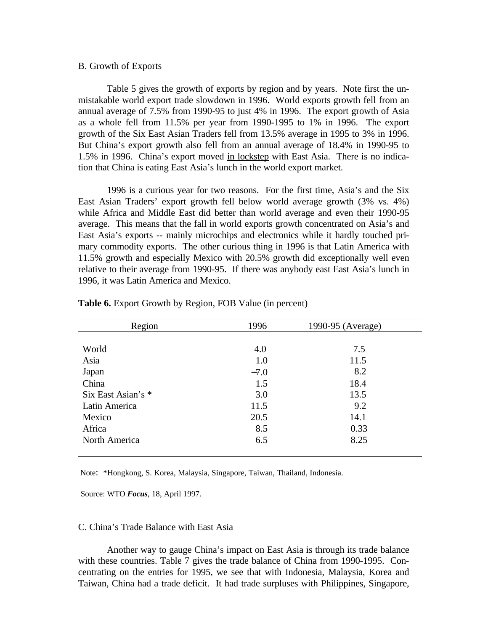#### B. Growth of Exports

Table 5 gives the growth of exports by region and by years. Note first the unmistakable world export trade slowdown in 1996. World exports growth fell from an annual average of 7.5% from 1990-95 to just 4% in 1996. The export growth of Asia as a whole fell from 11.5% per year from 1990-1995 to 1% in 1996. The export growth of the Six East Asian Traders fell from 13.5% average in 1995 to 3% in 1996. But China's export growth also fell from an annual average of 18.4% in 1990-95 to 1.5% in 1996. China's export moved in lockstep with East Asia. There is no indication that China is eating East Asia's lunch in the world export market.

1996 is a curious year for two reasons. For the first time, Asia's and the Six East Asian Traders' export growth fell below world average growth (3% vs. 4%) while Africa and Middle East did better than world average and even their 1990-95 average. This means that the fall in world exports growth concentrated on Asia's and East Asia's exports -- mainly microchips and electronics while it hardly touched primary commodity exports. The other curious thing in 1996 is that Latin America with 11.5% growth and especially Mexico with 20.5% growth did exceptionally well even relative to their average from 1990-95. If there was anybody east East Asia's lunch in 1996, it was Latin America and Mexico.

| Region             | 1996   | 1990-95 (Average) |  |
|--------------------|--------|-------------------|--|
|                    |        |                   |  |
| World              | 4.0    | 7.5               |  |
| Asia               | 1.0    | 11.5              |  |
| Japan              | $-7.0$ | 8.2               |  |
| China              | 1.5    | 18.4              |  |
| Six East Asian's * | 3.0    | 13.5              |  |
| Latin America      | 11.5   | 9.2               |  |
| Mexico             | 20.5   | 14.1              |  |
| Africa             | 8.5    | 0.33              |  |
| North America      | 6.5    | 8.25              |  |
|                    |        |                   |  |

**Table 6.** Export Growth by Region, FOB Value (in percent)

Note: \*Hongkong, S. Korea, Malaysia, Singapore, Taiwan, Thailand, Indonesia.

Source: WTO *Focus*, 18, April 1997.

#### C. China's Trade Balance with East Asia

Another way to gauge China's impact on East Asia is through its trade balance with these countries. Table 7 gives the trade balance of China from 1990-1995. Concentrating on the entries for 1995, we see that with Indonesia, Malaysia, Korea and Taiwan, China had a trade deficit. It had trade surpluses with Philippines, Singapore,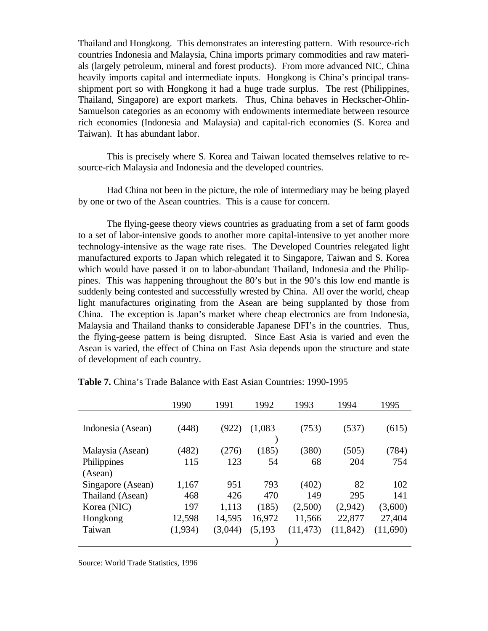Thailand and Hongkong. This demonstrates an interesting pattern. With resource-rich countries Indonesia and Malaysia, China imports primary commodities and raw materials (largely petroleum, mineral and forest products). From more advanced NIC, China heavily imports capital and intermediate inputs. Hongkong is China's principal transshipment port so with Hongkong it had a huge trade surplus. The rest (Philippines, Thailand, Singapore) are export markets. Thus, China behaves in Heckscher-Ohlin-Samuelson categories as an economy with endowments intermediate between resource rich economies (Indonesia and Malaysia) and capital-rich economies (S. Korea and Taiwan). It has abundant labor.

This is precisely where S. Korea and Taiwan located themselves relative to resource-rich Malaysia and Indonesia and the developed countries.

Had China not been in the picture, the role of intermediary may be being played by one or two of the Asean countries. This is a cause for concern.

The flying-geese theory views countries as graduating from a set of farm goods to a set of labor-intensive goods to another more capital-intensive to yet another more technology-intensive as the wage rate rises. The Developed Countries relegated light manufactured exports to Japan which relegated it to Singapore, Taiwan and S. Korea which would have passed it on to labor-abundant Thailand, Indonesia and the Philippines. This was happening throughout the 80's but in the 90's this low end mantle is suddenly being contested and successfully wrested by China. All over the world, cheap light manufactures originating from the Asean are being supplanted by those from China. The exception is Japan's market where cheap electronics are from Indonesia, Malaysia and Thailand thanks to considerable Japanese DFI's in the countries. Thus, the flying-geese pattern is being disrupted. Since East Asia is varied and even the Asean is varied, the effect of China on East Asia depends upon the structure and state of development of each country.

|                                                  | 1990          | 1991            | 1992            | 1993              | 1994              | 1995              |
|--------------------------------------------------|---------------|-----------------|-----------------|-------------------|-------------------|-------------------|
| Indonesia (Asean)                                | (448)         | (922)           | (1,083)         | (753)             | (537)             | (615)             |
| Malaysia (Asean)<br>Philippines                  | (482)<br>115  | (276)<br>123    | (185)<br>54     | (380)<br>68       | (505)<br>204      | (784)<br>754      |
| (Asean)<br>Singapore (Asean)<br>Thailand (Asean) | 1,167<br>468  | 951<br>426      | 793<br>470      | (402)<br>149      | 82<br>295         | 102<br>141        |
| Korea (NIC)<br>Hongkong                          | 197<br>12,598 | 1,113<br>14,595 | (185)<br>16,972 | (2,500)<br>11,566 | (2,942)<br>22,877 | (3,600)<br>27,404 |
| Taiwan                                           | (1,934)       | (3,044)         | (5, 193)        | (11, 473)         | (11, 842)         | (11,690)          |

**Table 7.** China's Trade Balance with East Asian Countries: 1990-1995

Source: World Trade Statistics, 1996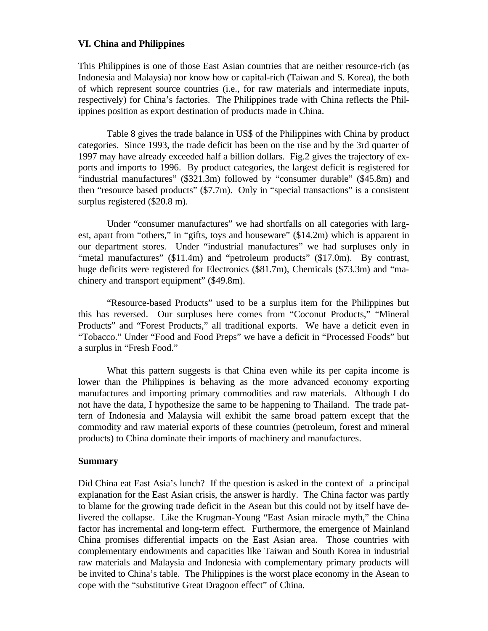#### **VI. China and Philippines**

This Philippines is one of those East Asian countries that are neither resource-rich (as Indonesia and Malaysia) nor know how or capital-rich (Taiwan and S. Korea), the both of which represent source countries (i.e., for raw materials and intermediate inputs, respectively) for China's factories. The Philippines trade with China reflects the Philippines position as export destination of products made in China.

Table 8 gives the trade balance in US\$ of the Philippines with China by product categories. Since 1993, the trade deficit has been on the rise and by the 3rd quarter of 1997 may have already exceeded half a billion dollars. Fig.2 gives the trajectory of exports and imports to 1996. By product categories, the largest deficit is registered for "industrial manufactures" (\$321.3m) followed by "consumer durable" (\$45.8m) and then "resource based products" (\$7.7m). Only in "special transactions" is a consistent surplus registered (\$20.8 m).

Under "consumer manufactures" we had shortfalls on all categories with largest, apart from "others," in "gifts, toys and houseware" (\$14.2m) which is apparent in our department stores. Under "industrial manufactures" we had surpluses only in "metal manufactures" (\$11.4m) and "petroleum products" (\$17.0m). By contrast, huge deficits were registered for Electronics (\$81.7m), Chemicals (\$73.3m) and "machinery and transport equipment" (\$49.8m).

"Resource-based Products" used to be a surplus item for the Philippines but this has reversed. Our surpluses here comes from "Coconut Products," "Mineral Products" and "Forest Products," all traditional exports. We have a deficit even in "Tobacco." Under "Food and Food Preps" we have a deficit in "Processed Foods" but a surplus in "Fresh Food."

What this pattern suggests is that China even while its per capita income is lower than the Philippines is behaving as the more advanced economy exporting manufactures and importing primary commodities and raw materials. Although I do not have the data, I hypothesize the same to be happening to Thailand. The trade pattern of Indonesia and Malaysia will exhibit the same broad pattern except that the commodity and raw material exports of these countries (petroleum, forest and mineral products) to China dominate their imports of machinery and manufactures.

#### **Summary**

Did China eat East Asia's lunch? If the question is asked in the context of a principal explanation for the East Asian crisis, the answer is hardly. The China factor was partly to blame for the growing trade deficit in the Asean but this could not by itself have delivered the collapse. Like the Krugman-Young "East Asian miracle myth," the China factor has incremental and long-term effect. Furthermore, the emergence of Mainland China promises differential impacts on the East Asian area. Those countries with complementary endowments and capacities like Taiwan and South Korea in industrial raw materials and Malaysia and Indonesia with complementary primary products will be invited to China's table. The Philippines is the worst place economy in the Asean to cope with the "substitutive Great Dragoon effect" of China.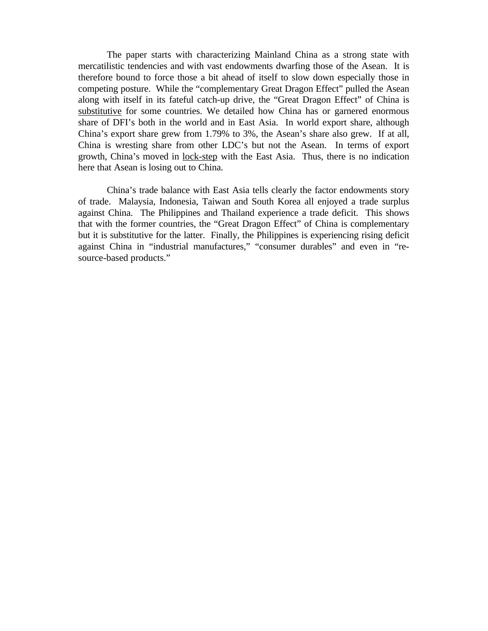The paper starts with characterizing Mainland China as a strong state with mercatilistic tendencies and with vast endowments dwarfing those of the Asean. It is therefore bound to force those a bit ahead of itself to slow down especially those in competing posture. While the "complementary Great Dragon Effect" pulled the Asean along with itself in its fateful catch-up drive, the "Great Dragon Effect" of China is substitutive for some countries. We detailed how China has or garnered enormous share of DFI's both in the world and in East Asia. In world export share, although China's export share grew from 1.79% to 3%, the Asean's share also grew. If at all, China is wresting share from other LDC's but not the Asean. In terms of export growth, China's moved in lock-step with the East Asia. Thus, there is no indication here that Asean is losing out to China.

China's trade balance with East Asia tells clearly the factor endowments story of trade. Malaysia, Indonesia, Taiwan and South Korea all enjoyed a trade surplus against China. The Philippines and Thailand experience a trade deficit. This shows that with the former countries, the "Great Dragon Effect" of China is complementary but it is substitutive for the latter. Finally, the Philippines is experiencing rising deficit against China in "industrial manufactures," "consumer durables" and even in "resource-based products."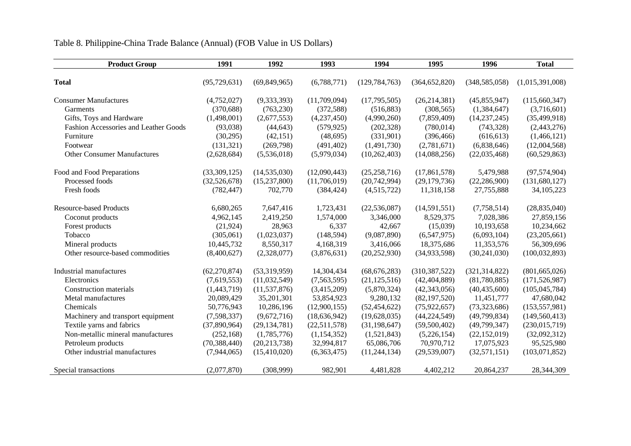## Table 8. Philippine-China Trade Balance (Annual) (FOB Value in US Dollars)

| <b>Product Group</b>                  | 1991           | 1992           | 1993           | 1994            | 1995            | 1996            | <b>Total</b>    |
|---------------------------------------|----------------|----------------|----------------|-----------------|-----------------|-----------------|-----------------|
| <b>Total</b>                          | (95, 729, 631) | (69, 849, 965) | (6,788,771)    | (129, 784, 763) | (364, 652, 820) | (348, 585, 058) | (1,015,391,008) |
|                                       |                |                |                |                 |                 |                 |                 |
| <b>Consumer Manufactures</b>          | (4,752,027)    | (9,333,393)    | (11,709,094)   | (17,795,505)    | (26, 214, 381)  | (45,855,947)    | (115,660,347)   |
| Garments                              | (370, 688)     | (763, 230)     | (372, 588)     | (516, 883)      | (308, 565)      | (1,384,647)     | (3,716,601)     |
| Gifts, Toys and Hardware              | (1,498,001)    | (2,677,553)    | (4,237,450)    | (4,990,260)     | (7,859,409)     | (14, 237, 245)  | (35, 499, 918)  |
| Fashion Accessories and Leather Goods | (93,038)       | (44, 643)      | (579, 925)     | (202, 328)      | (780, 014)      | (743, 328)      | (2,443,276)     |
| Furniture                             | (30,295)       | (42, 151)      | (48, 695)      | (331,901)       | (396, 466)      | (616, 613)      | (1,466,121)     |
| Footwear                              | (131, 321)     | (269,798)      | (491, 402)     | (1,491,730)     | (2,781,671)     | (6,838,646)     | (12,004,568)    |
| <b>Other Consumer Manufactures</b>    | (2,628,684)    | (5,536,018)    | (5,979,034)    | (10, 262, 403)  | (14,088,256)    | (22,035,468)    | (60, 529, 863)  |
| Food and Food Preparations            | (33,309,125)   | (14, 535, 030) | (12,090,443)   | (25, 258, 716)  | (17, 861, 578)  | 5,479,988       | (97,574,904)    |
| Processed foods                       | (32,526,678)   | (15,237,800)   | (11,706,019)   | (20,742,994)    | (29,179,736)    | (22, 286, 900)  | (131,680,127)   |
| Fresh foods                           | (782, 447)     | 702,770        | (384, 424)     | (4,515,722)     | 11,318,158      | 27,755,888      | 34, 105, 223    |
| <b>Resource-based Products</b>        | 6,680,265      | 7,647,416      | 1,723,431      | (22, 536, 087)  | (14,591,551)    | (7,758,514)     | (28, 835, 040)  |
| Coconut products                      | 4,962,145      | 2,419,250      | 1,574,000      | 3,346,000       | 8,529,375       | 7,028,386       | 27,859,156      |
| Forest products                       | (21, 924)      | 28,963         | 6,337          | 42,667          | (15,039)        | 10,193,658      | 10,234,662      |
| Tobacco                               | (305,061)      | (1,023,037)    | (148, 594)     | (9,087,890)     | (6,547,975)     | (6,093,104)     | (23,205,661)    |
| Mineral products                      | 10,445,732     | 8,550,317      | 4,168,319      | 3,416,066       | 18,375,686      | 11,353,576      | 56,309,696      |
| Other resource-based commodities      | (8,400,627)    | (2,328,077)    | (3,876,631)    | (20, 252, 930)  | (34,933,598)    | (30, 241, 030)  | (100, 032, 893) |
| Industrial manufactures               | (62, 270, 874) | (53,319,959)   | 14,304,434     | (68, 676, 283)  | (310, 387, 522) | (321, 314, 822) | (801, 665, 026) |
| Electronics                           | (7,619,553)    | (11,032,549)   | (7,563,595)    | (21, 125, 516)  | (42, 404, 889)  | (81,780,885)    | (171, 526, 987) |
| <b>Construction materials</b>         | (1,443,719)    | (11, 537, 876) | (3,415,209)    | (5,870,324)     | (42,343,056)    | (40, 435, 600)  | (105, 045, 784) |
| Metal manufactures                    | 20,089,429     | 35,201,301     | 53,854,923     | 9,280,132       | (82, 197, 520)  | 11,451,777      | 47,680,042      |
| Chemicals                             | 50,776,943     | 10,286,196     | (12,900,155)   | (52, 454, 622)  | (75, 922, 657)  | (73, 323, 686)  | (153, 557, 981) |
| Machinery and transport equipment     | (7,598,337)    | (9,672,716)    | (18, 636, 942) | (19,628,035)    | (44, 224, 549)  | (49,799,834)    | (149, 560, 413) |
| Textile yarns and fabrics             | (37,890,964)   | (29, 134, 781) | (22,511,578)   | (31, 198, 647)  | (59,500,402)    | (49,799,347)    | (230, 015, 719) |
| Non-metallic mineral manufactures     | (252, 168)     | (1,785,776)    | (1,154,352)    | (1,521,843)     | (5,226,154)     | (22, 152, 019)  | (32,092,312)    |
| Petroleum products                    | (70, 388, 440) | (20, 213, 738) | 32,994,817     | 65,086,706      | 70,970,712      | 17,075,923      | 95,525,980      |
| Other industrial manufactures         | (7,944,065)    | (15,410,020)   | (6,363,475)    | (11, 244, 134)  | (29, 539, 007)  | (32,571,151)    | (103,071,852)   |
| Special transactions                  | (2,077,870)    | (308,999)      | 982,901        | 4,481,828       | 4,402,212       | 20,864,237      | 28,344,309      |